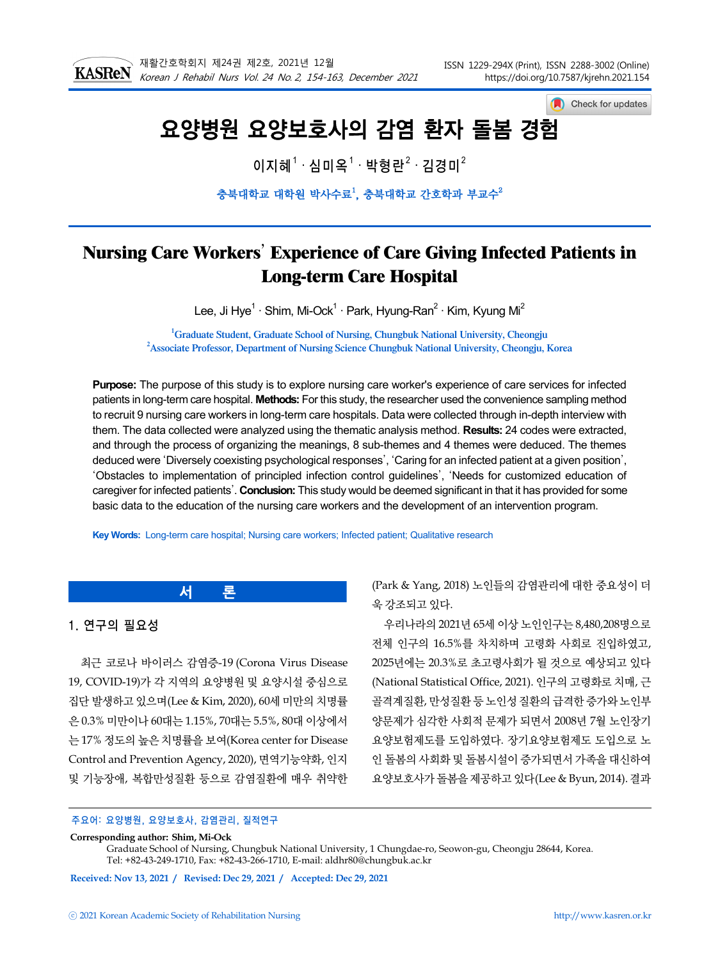

Check for updates

# 요양병원 요양보호사의 감염 환자 돌봄 경험

이지혜 $^1\cdot$ 심미옥 $^1\cdot$  박형란 $^2\cdot$  김경미 $^2$ 

충북대학교 대학원 박사수료 $^1$ , 충북대학교 간호학과 부교수 $^2$ 

## **Nursing Care Workers**' **Experience of Care Giving Infected Patients in Long-term Care Hospital**

Lee, Ji Hye<sup>1</sup> · Shim, Mi-Ock<sup>1</sup> · Park, Hyung-Ran<sup>2</sup> · Kim, Kyung Mi<sup>2</sup>

**1 Graduate Student, Graduate School of Nursing, Chungbuk National University, Cheongju 2 Associate Professor, Department of Nursing Science Chungbuk National University, Cheongju, Korea**

**Purpose:** The purpose of this study is to explore nursing care worker's experience of care services for infected patients in long-term care hospital. **Methods:** For this study, the researcher used the convenience sampling method to recruit 9 nursing care workers in long-term care hospitals. Data were collected through in-depth interview with them. The data collected were analyzed using the thematic analysis method. **Results:** 24 codes were extracted, and through the process of organizing the meanings, 8 sub-themes and 4 themes were deduced. The themes deduced were 'Diversely coexisting psychological responses', 'Caring for an infected patient at a given position', 'Obstacles to implementation of principled infection control guidelines', 'Needs for customized education of caregiver for infected patients'. **Conclusion:** This study would be deemed significant in that it has provided for some basic data to the education of the nursing care workers and the development of an intervention program.

**Key Words:** Long-term care hospital; Nursing care workers; Infected patient; Qualitative research

**서 론**

## 1. 연구의 필요성

최근 코로나 바이러스 감염증-19 (Corona Virus Disease 19, COVID-19)가 각 지역의 요양병원 및 요양시설 중심으로 집단 발생하고 있으며(Lee & Kim, 2020), 60세 미만의 치명률 은 0.3% 미만이나 60대는 1.15%, 70대는 5.5%, 80대 이상에서 는 17% 정도의 높은 치명률을 보여(Korea center for Disease Control and Prevention Agency, 2020), 면역기능약화, 인지 및 기능장애, 복합만성질환 등으로 감염질환에 매우 취약한

(Park & Yang, 2018) 노인들의 감염관리에 대한 중요성이 더 욱 강조되고 있다.

우리나라의 2021년 65세 이상 노인인구는 8,480,208명으로 전체 인구의 16.5%를 차치하며 고령화 사회로 진입하였고, 2025년에는 20.3%로 초고령사회가 될 것으로 예상되고 있다 (National Statistical Office, 2021). 인구의 고령화로 치매, 근 골격계질환, 만성질환 등 노인성 질환의 급격한 증가와 노인부 양문제가 심각한 사회적 문제가 되면서 2008년 7월 노인장기 요양보험제도를 도입하였다. 장기요양보험제도 도입으로 노 인 돌봄의 사회화 및 돌봄시설이 증가되면서 가족을 대신하여 요양보호사가 돌봄을 제공하고 있다(Lee & Byun, 2014). 결과

#### 주요어: 요양병원, 요양보호사, 감염관리, 질적연구

#### **Corresponding author: Shim, Mi-Ock**

Graduate School of Nursing, Chungbuk National University, 1 Chungdae-ro, Seowon-gu, Cheongju 28644, Korea. Tel: +82-43-249-1710, Fax: +82-43-266-1710, E-mail: aldhr80@chungbuk.ac.kr

**Received: Nov 13, 2021 / Revised: Dec 29, 2021 / Accepted: Dec 29, 2021**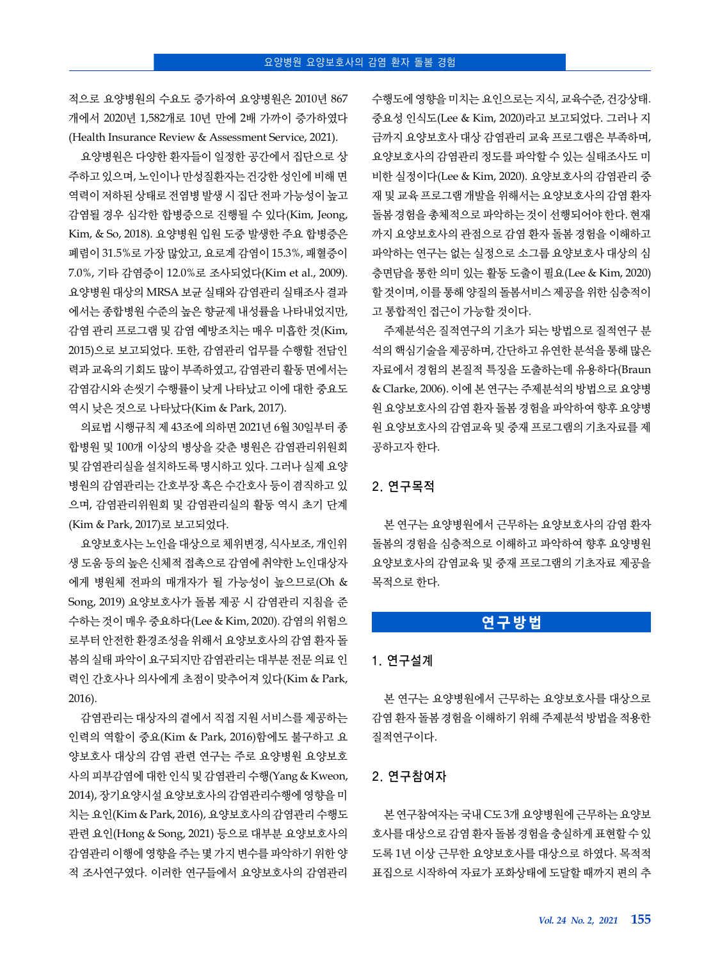적으로 요양병원의 수요도 증가하여 요양병원은 2010년 867 개에서 2020년 1,582개로 10년 만에 2배 가까이 증가하였다 (Health Insurance Review & Assessment Service, 2021).

요양병원은 다양한 환자들이 일정한 공간에서 집단으로 상 주하고 있으며, 노인이나 만성질환자는 건강한 성인에 비해 면 역력이 저하된 상태로 전염병 발생 시 집단 전파 가능성이 높고 감염될 경우 심각한 합병증으로 진행될 수 있다(Kim, Jeong, Kim, & So, 2018). 요양병원 입원 도중 발생한 주요 합병증은 폐렴이 31.5%로 가장 많았고, 요로계 감염이 15.3%, 패혈증이 7.0%, 기타 감염증이 12.0%로 조사되었다(Kim et al., 2009). 요양병원 대상의 MRSA 보균 실태와 감염관리 실태조사 결과 에서는 종합병원 수준의 높은 향균제 내성률을 나타내었지만, 감염 관리 프로그램 및 감염 예방조치는 매우 미흡한 것(Kim, 2015)으로 보고되었다. 또한, 감염관리 업무를 수행할 전담인 력과 교육의 기회도 많이 부족하였고, 감염관리 활동 면에서는 감염감시와 손씻기 수행률이 낮게 나타났고 이에 대한 중요도 역시 낮은 것으로 나타났다(Kim & Park, 2017).

의료법 시행규칙 제 43조에 의하면 2021년 6월 30일부터 종 합병원 및 100개 이상의 병상을 갖춘 병원은 감염관리위원회 및 감염관리실을 설치하도록 명시하고 있다. 그러나 실제 요양 병원의 감염관리는 간호부장 혹은 수간호사 등이 겸직하고 있 으며, 감염관리위원회 및 감염관리실의 활동 역시 초기 단계 (Kim & Park, 2017)로 보고되었다.

요양보호사는 노인을 대상으로 체위변경, 식사보조, 개인위 생 도움 등의 높은 신체적 접촉으로 감염에 취약한 노인대상자 에게 병원체 전파의 매개자가 될 가능성이 높으므로(Oh & Song, 2019) 요양보호사가 돌봄 제공 시 감염관리 지침을 준 수하는 것이 매우 중요하다(Lee & Kim, 2020). 감염의 위험으 로부터 안전한 환경조성을 위해서 요양보호사의 감염 환자 돌 봄의 실태 파악이 요구되지만 감염관리는 대부분 전문 의료 인 력인 간호사나 의사에게 초점이 맞추어져 있다(Kim & Park, 2016).

감염관리는 대상자의 곁에서 직접 지원 서비스를 제공하는 인력의 역할이 중요(Kim & Park, 2016)함에도 불구하고 요 양보호사 대상의 감염 관련 연구는 주로 요양병원 요양보호 사의 피부감염에 대한 인식 및 감염관리 수행(Yang & Kweon, 2014), 장기요양시설 요양보호사의 감염관리수행에 영향을 미 치는 요인(Kim & Park, 2016), 요양보호사의 감염관리 수행도 관련 요인(Hong & Song, 2021) 등으로 대부분 요양보호사의 감염관리 이행에 영향을 주는 몇 가지 변수를 파악하기 위한 양 적 조사연구였다. 이러한 연구들에서 요양보호사의 감염관리

수행도에 영향을 미치는 요인으로는 지식, 교육수준, 건강상태. 중요성 인식도(Lee & Kim, 2020)라고 보고되었다. 그러나 지 금까지 요양보호사 대상 감염관리 교육 프로그램은 부족하며, 요양보호사의 감염관리 정도를 파악할 수 있는 실태조사도 미 비한 실정이다(Lee & Kim, 2020). 요양보호사의 감염관리 중 재 및 교육 프로그램 개발을 위해서는 요양보호사의 감염 환자 돌봄 경험을 총체적으로 파악하는 것이 선행되어야 한다. 현재 까지 요양보호사의 관점으로 감염 환자 돌봄 경험을 이해하고 파악하는 연구는 없는 실정으로 소그룹 요양보호사 대상의 심 층면담을 통한 의미 있는 활동 도출이 필요(Lee & Kim, 2020) 할 것이며, 이를 통해 양질의 돌봄서비스 제공을 위한 심층적이 고 통합적인 접근이 가능할 것이다.

주제분석은 질적연구의 기초가 되는 방법으로 질적연구 분 석의 핵심기술을 제공하며, 간단하고 유연한 분석을 통해 많은 자료에서 경험의 본질적 특징을 도출하는데 유용하다(Braun & Clarke, 2006). 이에 본 연구는 주제분석의 방법으로 요양병 원 요양보호사의 감염 환자 돌봄 경험을 파악하여 향후 요양병 원 요양보호사의 감염교육 및 중재 프로그램의 기초자료를 제 공하고자 한다.

## 2. 연구목적

본 연구는 요양병원에서 근무하는 요양보호사의 감염 환자 돌봄의 경험을 심층적으로 이해하고 파악하여 향후 요양병원 요양보호사의 감염교육 및 중재 프로그램의 기초자료 제공을 목적으로 한다.

## **연구방법**

#### 1. 연구설계

본 연구는 요양병원에서 근무하는 요양보호사를 대상으로 감염 환자 돌봄 경험을 이해하기 위해 주제분석 방법을 적용한 질적연구이다.

#### 2. 연구참여자

본 연구참여자는 국내 C도 3개 요양병원에 근무하는 요양보 호사를 대상으로 감염 환자 돌봄 경험을 충실하게 표현할 수 있 도록 1년 이상 근무한 요양보호사를 대상으로 하였다. 목적적 표집으로 시작하여 자료가 포화상태에 도달할 때까지 편의 추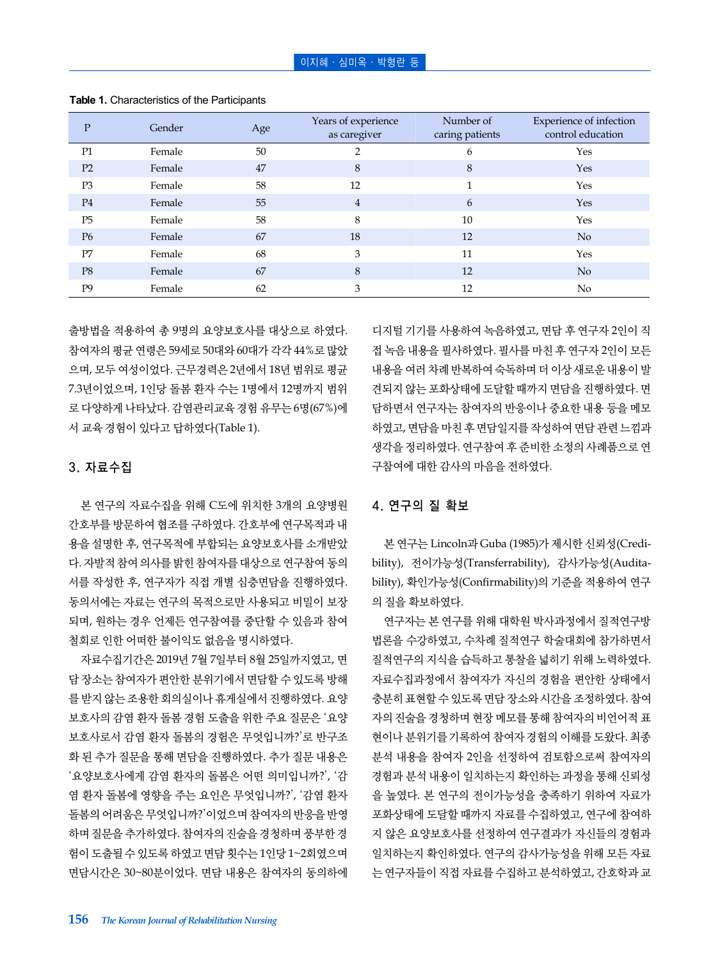| P              | Gender | Age | Years of experience<br>as caregiver | Number of<br>caring patients | Experience of infection<br>control education |
|----------------|--------|-----|-------------------------------------|------------------------------|----------------------------------------------|
| P1             | Female | 50  |                                     | 6                            | Yes                                          |
| P2             | Female | 47  | 8                                   | 8                            | Yes                                          |
| P <sub>3</sub> | Female | 58  | 12                                  | $\mathbf{1}$                 | Yes                                          |
| P <sub>4</sub> | Female | 55  | $\overline{4}$                      | 6                            | Yes                                          |
| P <sub>5</sub> | Female | 58  | 8                                   | 10                           | Yes                                          |
| P <sub>6</sub> | Female | 67  | 18                                  | 12                           | N <sub>o</sub>                               |
| P7             | Female | 68  | 3                                   | 11                           | Yes                                          |
| P <sub>8</sub> | Female | 67  | 8                                   | 12                           | N <sub>o</sub>                               |
| P9             | Female | 62  | 3                                   | 12                           | No                                           |

**Table 1.** Characteristics of the Participants

출방법을 적용하여 총 9명의 요양보호사를 대상으로 하였다. 참여자의 평균 연령은 59세로 50대와 60대가 각각 44%로 많았 으며, 모두 여성이었다. 근무경력은 2년에서 18년 범위로 평균 7.3년이었으며, 1인당 돌봄 환자 수는 1명에서 12명까지 범위 로 다양하게 나타났다. 감염관리교육 경험 유무는 6명(67%)에 서 교육 경험이 있다고 답하였다(Table 1).

#### 3. 자료수집

본 연구의 자료수집을 위해 C도에 위치한 3개의 요양병원 간호부를 방문하여 협조를 구하였다. 간호부에 연구목적과 내 용을 설명한 후, 연구목적에 부합되는 요양보호사를 소개받았 다. 자발적 참여 의사를 밝힌 참여자를 대상으로 연구참여 동의 서를 작성한 후, 연구자가 직접 개별 심층면담을 진행하였다. 동의서에는 자료는 연구의 목적으로만 사용되고 비밀이 보장 되며, 원하는 경우 언제든 연구참여를 중단할 수 있음과 참여 철회로 인한 어떠한 불이익도 없음을 명시하였다.

자료수집기간은 2019년 7월 7일부터 8월 25일까지였고, 면 담 장소는 참여자가 편안한 분위기에서 면담할 수 있도록 방해 를 받지 않는 조용한 회의실이나 휴게실에서 진행하였다. 요양 보호사의 감염 환자 돌봄 경험 도출을 위한 주요 질문은 '요양 보호사로서 감염 환자 돌봄의 경험은 무엇입니까?'로 반구조 화 된 추가 질문을 통해 면담을 진행하였다. 추가 질문 내용은 '요양보호사에게 감염 환자의 돌봄은 어떤 의미입니까?', '감 염 환자 돌봄에 영향을 주는 요인은 무엇입니까?', '감염 환자 돌봄의 어려움은 무엇입니까?'이었으며 참여자의 반응을 반영 하며 질문을 추가하였다. 참여자의 진술을 경청하며 풍부한 경 험이 도출될 수 있도록 하였고 면담 횟수는 1인당 1~2회였으며 면담시간은 30~80분이었다. 면담 내용은 참여자의 동의하에

디지털 기기를 사용하여 녹음하였고, 면담 후 연구자 2인이 직 접 녹음 내용을 필사하였다. 필사를 마친 후 연구자 2인이 모든 내용을 여러 차례 반복하여 숙독하며 더 이상 새로운 내용이 발 견되지 않는 포화상태에 도달할 때까지 면담을 진행하였다. 면 담하면서 연구자는 참여자의 반응이나 중요한 내용 등을 메모 하였고, 면담을 마친 후 면담일지를 작성하여 면담 관련 느낌과 생각을 정리하였다. 연구참여 후 준비한 소정의 사례품으로 연 구참여에 대한 감사의 마음을 전하였다.

## 4. 연구의 질 확보

본 연구는 Lincoln과 Guba (1985)가 제시한 신뢰성(Credibility), 전이가능성(Transferrability), 감사가능성(Auditability), 확인가능성(Confirmability)의 기준을 적용하여 연구 의 질을 확보하였다.

연구자는 본 연구를 위해 대학원 박사과정에서 질적연구방 법론을 수강하였고, 수차례 질적연구 학술대회에 참가하면서 질적연구의 지식을 습득하고 통찰을 넓히기 위해 노력하였다. 자료수집과정에서 참여자가 자신의 경험을 편안한 상태에서 충분히 표현할 수 있도록 면담 장소와 시간을 조정하였다. 참여 자의 진술을 경청하며 현장 메모를 통해 참여자의 비언어적 표 현이나 분위기를 기록하여 참여자 경험의 이해를 도왔다. 최종 분석 내용을 참여자 2인을 선정하여 검토함으로써 참여자의 경험과 분석 내용이 일치하는지 확인하는 과정을 통해 신뢰성 을 높였다. 본 연구의 전이가능성을 충족하기 위하여 자료가 포화상태에 도달할 때까지 자료를 수집하였고, 연구에 참여하 지 않은 요양보호사를 선정하여 연구결과가 자신들의 경험과 일치하는지 확인하였다. 연구의 감사가능성을 위해 모든 자료 는 연구자들이 직접 자료를 수집하고 분석하였고, 간호학과 교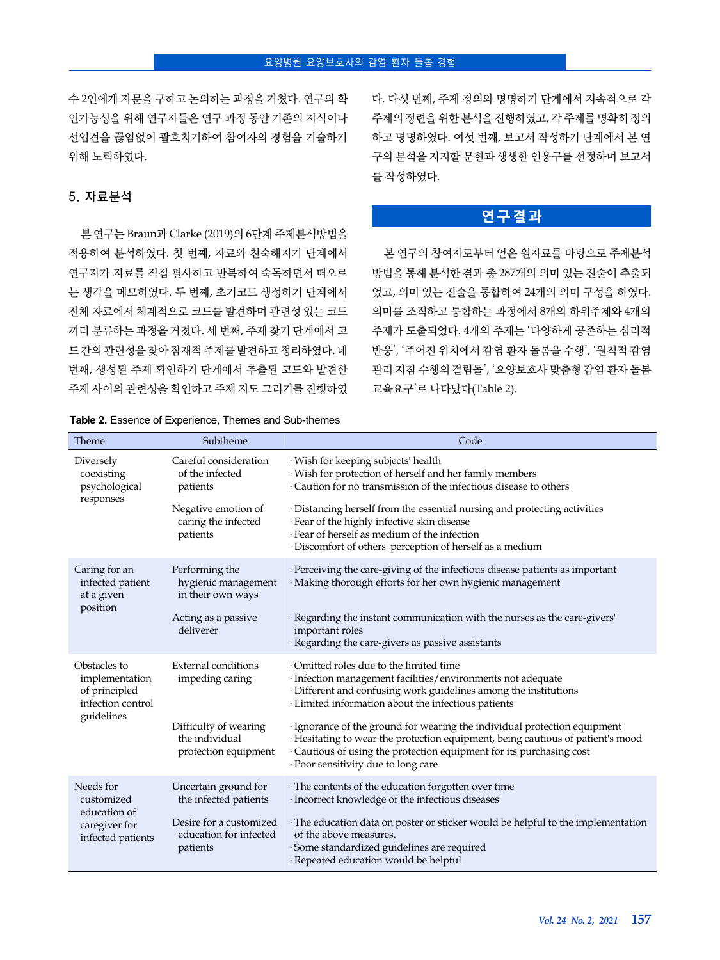수 2인에게 자문을 구하고 논의하는 과정을 거쳤다. 연구의 확 인가능성을 위해 연구자들은 연구 과정 동안 기존의 지식이나 선입견을 끊임없이 괄호치기하여 참여자의 경험을 기술하기 위해 노력하였다.

## 5. 자료분석

본 연구는 Braun과 Clarke (2019)의 6단계 주제분석방법을 적용하여 분석하였다. 첫 번째, 자료와 친숙해지기 단계에서 연구자가 자료를 직접 필사하고 반복하여 숙독하면서 떠오르 는 생각을 메모하였다. 두 번째, 초기코드 생성하기 단계에서 전체 자료에서 체계적으로 코드를 발견하며 관련성 있는 코드 끼리 분류하는 과정을 거쳤다. 세 번째, 주제 찾기 단계에서 코 드 간의 관련성을 찾아 잠재적 주제를 발견하고 정리하였다. 네 번째, 생성된 주제 확인하기 단계에서 추출된 코드와 발견한 주제 사이의 관련성을 확인하고 주제 지도 그리기를 진행하였

**Table 2.** Essence of Experience, Themes and Sub-themes

다. 다섯 번째, 주제 정의와 명명하기 단계에서 지속적으로 각 주제의 정련을 위한 분석을 진행하였고, 각 주제를 명확히 정의 하고 명명하였다. 여섯 번째, 보고서 작성하기 단계에서 본 연 구의 분석을 지지할 문헌과 생생한 인용구를 선정하며 보고서 를 작성하였다.

## **연구결과**

본 연구의 참여자로부터 얻은 원자료를 바탕으로 주제분석 방법을 통해 분석한 결과 총 287개의 의미 있는 진술이 추출되 었고, 의미 있는 진술을 통합하여 24개의 의미 구성을 하였다. 의미를 조직하고 통합하는 과정에서 8개의 하위주제와 4개의 주제가 도출되었다. 4개의 주제는 '다양하게 공존하는 심리적 반응', '주어진 위치에서 감염 환자 돌봄을 수행', '원칙적 감염 관리 지침 수행의 걸림돌', '요양보호사 맞춤형 감염 환자 돌봄 교육요구'로 나타났다(Table 2).

| Theme                                                                | Subtheme                                                        | Code                                                                                                                                                                                                                                                                        |
|----------------------------------------------------------------------|-----------------------------------------------------------------|-----------------------------------------------------------------------------------------------------------------------------------------------------------------------------------------------------------------------------------------------------------------------------|
| Diversely<br>coexisting<br>psychological                             | Careful consideration<br>of the infected<br>patients            | · Wish for keeping subjects' health<br>· Wish for protection of herself and her family members<br>· Caution for no transmission of the infectious disease to others                                                                                                         |
| responses                                                            | Negative emotion of<br>caring the infected<br>patients          | · Distancing herself from the essential nursing and protecting activities<br>· Fear of the highly infective skin disease<br>· Fear of herself as medium of the infection<br>· Discomfort of others' perception of herself as a medium                                       |
| Caring for an<br>infected patient<br>at a given                      | Performing the<br>hygienic management<br>in their own ways      | · Perceiving the care-giving of the infectious disease patients as important<br>· Making thorough efforts for her own hygienic management                                                                                                                                   |
| position                                                             | Acting as a passive<br>deliverer                                | · Regarding the instant communication with the nurses as the care-givers'<br>important roles<br>· Regarding the care-givers as passive assistants                                                                                                                           |
| Obstacles to<br>implementation<br>of principled<br>infection control | <b>External conditions</b><br>impeding caring                   | Omitted roles due to the limited time<br>· Infection management facilities/environments not adequate<br>· Different and confusing work guidelines among the institutions<br>· Limited information about the infectious patients                                             |
| guidelines                                                           | Difficulty of wearing<br>the individual<br>protection equipment | · Ignorance of the ground for wearing the individual protection equipment<br>· Hesitating to wear the protection equipment, being cautious of patient's mood<br>· Cautious of using the protection equipment for its purchasing cost<br>· Poor sensitivity due to long care |
| Needs for<br>customized                                              | Uncertain ground for<br>the infected patients                   | · The contents of the education forgotten over time<br>· Incorrect knowledge of the infectious diseases                                                                                                                                                                     |
| education of<br>caregiver for<br>infected patients                   | Desire for a customized<br>education for infected<br>patients   | · The education data on poster or sticker would be helpful to the implementation<br>of the above measures.<br>· Some standardized guidelines are required<br>· Repeated education would be helpful                                                                          |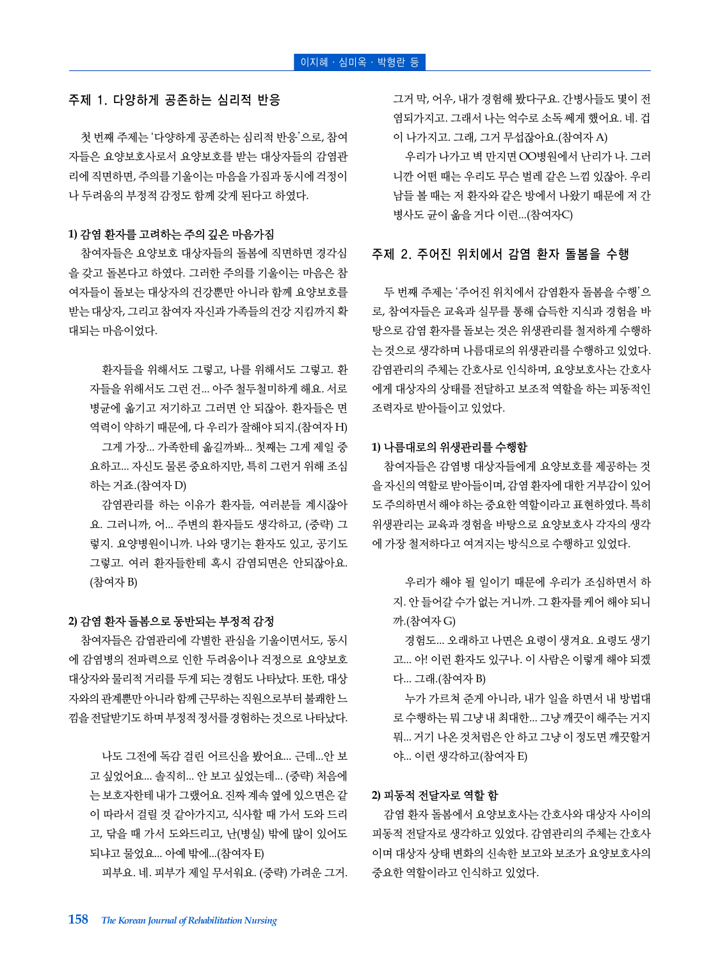#### 주제 1. 다양하게 공존하는 심리적 반응

첫 번째 주제는 '다양하게 공존하는 심리적 반응'으로, 참여 자들은 요양보호사로서 요양보호를 받는 대상자들의 감염관 리에 직면하면, 주의를 기울이는 마음을 가짐과 동시에 걱정이 나 두려움의 부정적 감정도 함께 갖게 된다고 하였다.

#### **1)** 감염 환자를 고려하는 주의 깊은 마음가짐

참여자들은 요양보호 대상자들의 돌봄에 직면하면 경각심 을 갖고 돌본다고 하였다. 그러한 주의를 기울이는 마음은 참 여자들이 돌보는 대상자의 건강뿐만 아니라 함께 요양보호를 받는 대상자, 그리고 참여자 자신과 가족들의 건강 지킴까지 확 대되는 마음이었다.

환자들을 위해서도 그렇고, 나를 위해서도 그렇고. 환 자들을 위해서도 그런 건... 아주 철두철미하게 해요. 서로 병균에 옮기고 저기하고 그러면 안 되잖아. 환자들은 면 역력이 약하기 때문에, 다 우리가 잘해야 되지.(참여자 H) 그게 가장... 가족한테 옮길까봐... 첫째는 그게 제일 중 요하고... 자신도 물론 중요하지만, 특히 그런거 위해 조심 하는 거죠.(참여자 D)

감염관리를 하는 이유가 환자들, 여러분들 계시잖아 요. 그러니까, 어... 주변의 환자들도 생각하고, (중략) 그 렇지. 요양병원이니까. 나와 댕기는 환자도 있고, 공기도 그렇고. 여러 환자들한테 혹시 감염되면은 안되잖아요. (참여자 B)

#### **2)** 감염 환자 돌봄으로 동반되는 부정적 감정

참여자들은 감염관리에 각별한 관심을 기울이면서도, 동시 에 감염병의 전파력으로 인한 두려움이나 걱정으로 요양보호 대상자와 물리적 거리를 두게 되는 경험도 나타났다. 또한, 대상 자와의 관계뿐만 아니라 함께 근무하는 직원으로부터 불쾌한 느 낌을 전달받기도 하며 부정적 정서를 경험하는 것으로 나타났다.

나도 그전에 독감 걸린 어르신을 봤어요... 근데...안 보 고 싶었어요... 솔직히... 안 보고 싶었는데... (중략) 처음에 는 보호자한테 내가 그랬어요. 진짜 계속 옆에 있으면은 같 이 따라서 걸릴 것 같아가지고, 식사할 때 가서 도와 드리 고, 닦을 때 가서 도와드리고, 난(병실) 밖에 많이 있어도 되냐고 물었요... 아예 밖에...(참여자 E)

피부요. 네. 피부가 제일 무서워요. (중략) 가려운 그거.

그거 막, 어우, 내가 경험해 봤다구요. 간병사들도 몇이 전 염되가지고. 그래서 나는 억수로 소독 쎄게 했어요. 네. 겁 이 나가지고. 그래, 그거 무섭잖아요.(참여자 A)

우리가 나가고 벽 만지면 OO병원에서 난리가 나. 그러 니깐 어떤 때는 우리도 무슨 벌레 같은 느낌 있잖아. 우리 남들 볼 때는 저 환자와 같은 방에서 나왔기 때문에 저 간 병사도 균이 옮을 거다 이런...(참여자C)

#### 주제 2. 주어진 위치에서 감염 환자 돌봄을 수행

두 번째 주제는 '주어진 위치에서 감염환자 돌봄을 수행'으 로, 참여자들은 교육과 실무를 통해 습득한 지식과 경험을 바 탕으로 감염 환자를 돌보는 것은 위생관리를 철저하게 수행하 는 것으로 생각하며 나름대로의 위생관리를 수행하고 있었다. 감염관리의 주체는 간호사로 인식하며, 요양보호사는 간호사 에게 대상자의 상태를 전달하고 보조적 역할을 하는 피동적인 조력자로 받아들이고 있었다.

#### **1)** 나름대로의 위생관리를 수행함

참여자들은 감염병 대상자들에게 요양보호를 제공하는 것 을 자신의 역할로 받아들이며, 감염 환자에 대한 거부감이 있어 도 주의하면서 해야 하는 중요한 역할이라고 표현하였다. 특히 위생관리는 교육과 경험을 바탕으로 요양보호사 각자의 생각 에 가장 철저하다고 여겨지는 방식으로 수행하고 있었다.

우리가 해야 될 일이기 때문에 우리가 조심하면서 하 지. 안 들어갈 수가 없는 거니까. 그 환자를 케어 해야 되니 까.(참여자 G)

경험도... 오래하고 나면은 요령이 생겨요. 요령도 생기 고... 아! 이런 환자도 있구나. 이 사람은 이렇게 해야 되겠 다... 그래.(참여자 B)

누가 가르쳐 준게 아니라, 내가 일을 하면서 내 방법대 로 수행하는 뭐 그냥 내 최대한... 그냥 깨끗이 해주는 거지 뭐... 거기 나온 것처럼은 안 하고 그냥 이 정도면 깨끗할거 야... 이런 생각하고(참여자 E)

#### **2)** 피동적 전달자로 역할 함

감염 환자 돌봄에서 요양보호사는 간호사와 대상자 사이의 피동적 전달자로 생각하고 있었다. 감염관리의 주체는 간호사 이며 대상자 상태 변화의 신속한 보고와 보조가 요양보호사의 중요한 역할이라고 인식하고 있었다.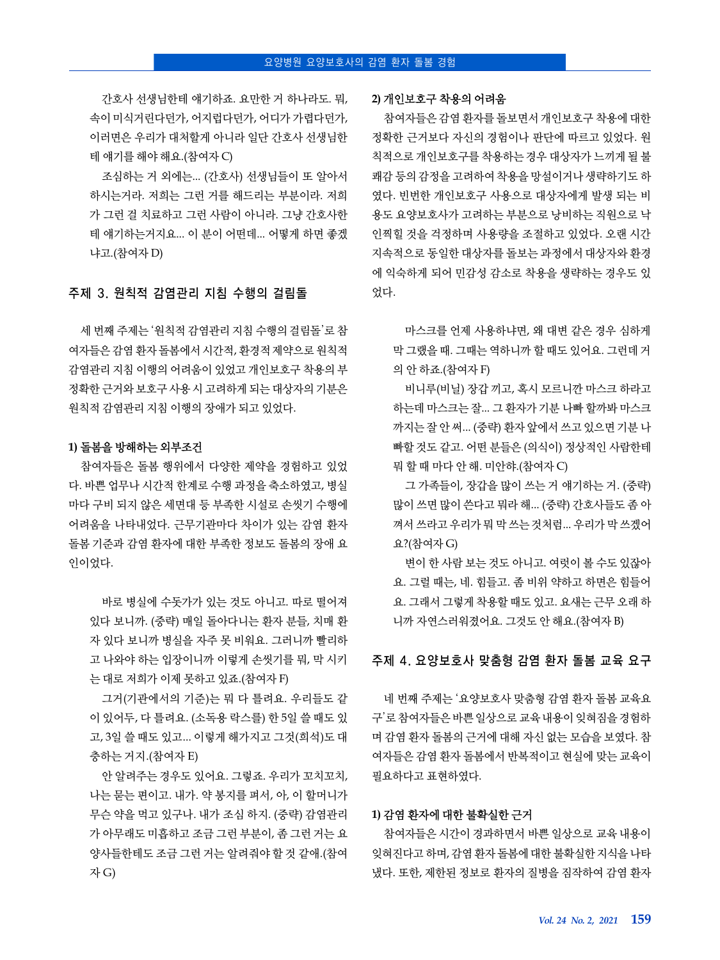간호사 선생님한테 얘기하죠. 요만한 거 하나라도. 뭐, 속이 미식거린다던가, 어지럽다던가, 어디가 가렵다던가, 이러면은 우리가 대처할게 아니라 일단 간호사 선생님한 테 얘기를 해야 해요.(참여자 C)

조심하는 거 외에는... (간호사) 선생님들이 또 알아서 하시는거라. 저희는 그런 거를 해드리는 부분이라. 저희 가 그런 걸 치료하고 그런 사람이 아니라. 그냥 간호사한 테 얘기하는거지요... 이 분이 어떤데... 어떻게 하면 좋겠 냐고.(참여자 D)

## 주제 3. 원칙적 감염관리 지침 수행의 걸림돌

세 번째 주제는 '원칙적 감염관리 지침 수행의 걸림돌'로 참 여자들은 감염 환자 돌봄에서 시간적, 환경적 제약으로 원칙적 감염관리 지침 이행의 어려움이 있었고 개인보호구 착용의 부 정확한 근거와 보호구 사용 시 고려하게 되는 대상자의 기분은 원칙적 감염관리 지침 이행의 장애가 되고 있었다.

#### **1)** 돌봄을 방해하는 외부조건

참여자들은 돌봄 행위에서 다양한 제약을 경험하고 있었 다. 바쁜 업무나 시간적 한계로 수행 과정을 축소하였고, 병실 마다 구비 되지 않은 세면대 등 부족한 시설로 손씻기 수행에 어려움을 나타내었다. 근무기관마다 차이가 있는 감염 환자 돌봄 기준과 감염 환자에 대한 부족한 정보도 돌봄의 장애 요 인이었다.

바로 병실에 수돗가가 있는 것도 아니고. 따로 떨어져 있다 보니까. (중략) 매일 돌아다니는 환자 분들, 치매 환 자 있다 보니까 병실을 자주 못 비워요. 그러니까 빨리하 고 나와야 하는 입장이니까 이렇게 손씻기를 뭐, 막 시키 는 대로 저희가 이제 못하고 있죠.(참여자 F)

그거(기관에서의 기준)는 뭐 다 틀려요. 우리들도 같 이 있어두, 다 틀려요. (소독용 락스를) 한 5일 쓸 때도 있 고, 3일 쓸 때도 있고... 이렇게 해가지고 그것(희석)도 대 충하는 거지.(참여자 E)

안 알려주는 경우도 있어요. 그렇죠. 우리가 꼬치꼬치, 나는 묻는 편이고. 내가. 약 봉지를 펴서, 아, 이 할머니가 무슨 약을 먹고 있구나. 내가 조심 하지. (중략) 감염관리 가 아무래도 미흡하고 조금 그런 부분이, 좀 그런 거는 요 양사들한테도 조금 그런 거는 알려줘야 할 것 같애.(참여 자 G)

#### **2)** 개인보호구 착용의 어려움

참여자들은 감염 환자를 돌보면서 개인보호구 착용에 대한 정확한 근거보다 자신의 경험이나 판단에 따르고 있었다. 원 칙적으로 개인보호구를 착용하는 경우 대상자가 느끼게 될 불 쾌감 등의 감정을 고려하여 착용을 망설이거나 생략하기도 하 였다. 빈번한 개인보호구 사용으로 대상자에게 발생 되는 비 용도 요양보호사가 고려하는 부분으로 낭비하는 직원으로 낙 인찍힐 것을 걱정하며 사용량을 조절하고 있었다. 오랜 시간 지속적으로 동일한 대상자를 돌보는 과정에서 대상자와 환경 에 익숙하게 되어 민감성 감소로 착용을 생략하는 경우도 있 었다.

마스크를 언제 사용하냐면, 왜 대변 같은 경우 심하게 막 그랬을 때. 그때는 역하니까 할 때도 있어요. 그런데 거 의 안 하죠.(참여자 F)

비니루(비닐) 장갑 끼고, 혹시 모르니깐 마스크 하라고 하는데 마스크는 잘... 그 환자가 기분 나빠 할까봐 마스크 까지는 잘 안 써... (중략) 환자 앞에서 쓰고 있으면 기분 나 빠할 것도 같고. 어떤 분들은 (의식이) 정상적인 사람한테 뭐 할 때 마다 안 해. 미안햐.(참여자 C)

그 가족들이, 장갑을 많이 쓰는 거 얘기하는 거. (중략) 많이 쓰면 많이 쓴다고 뭐라 해... (중략) 간호사들도 좀 아 껴서 쓰라고 우리가 뭐 막 쓰는 것처럼... 우리가 막 쓰겠어 요?(참여자 G)

변이 한 사람 보는 것도 아니고. 여럿이 볼 수도 있잖아 요. 그럴 때는, 네. 힘들고. 좀 비위 약하고 하면은 힘들어 요. 그래서 그렇게 착용할 때도 있고. 요새는 근무 오래 하 니까 자연스러워졌어요. 그것도 안 해요.(참여자 B)

#### 주제 4. 요양보호사 맞춤형 감염 환자 돌봄 교육 요구

네 번째 주제는 '요양보호사 맞춤형 감염 환자 돌봄 교육요 구'로 참여자들은 바쁜 일상으로 교육 내용이 잊혀짐을 경험하 며 감염 환자 돌봄의 근거에 대해 자신 없는 모습을 보였다. 참 여자들은 감염 환자 돌봄에서 반복적이고 현실에 맞는 교육이 필요하다고 표현하였다.

#### **1)** 감염 환자에 대한 불확실한 근거

참여자들은 시간이 경과하면서 바쁜 일상으로 교육 내용이 잊혀진다고 하며, 감염 환자 돌봄에 대한 불확실한 지식을 나타 냈다. 또한, 제한된 정보로 환자의 질병을 짐작하여 감염 환자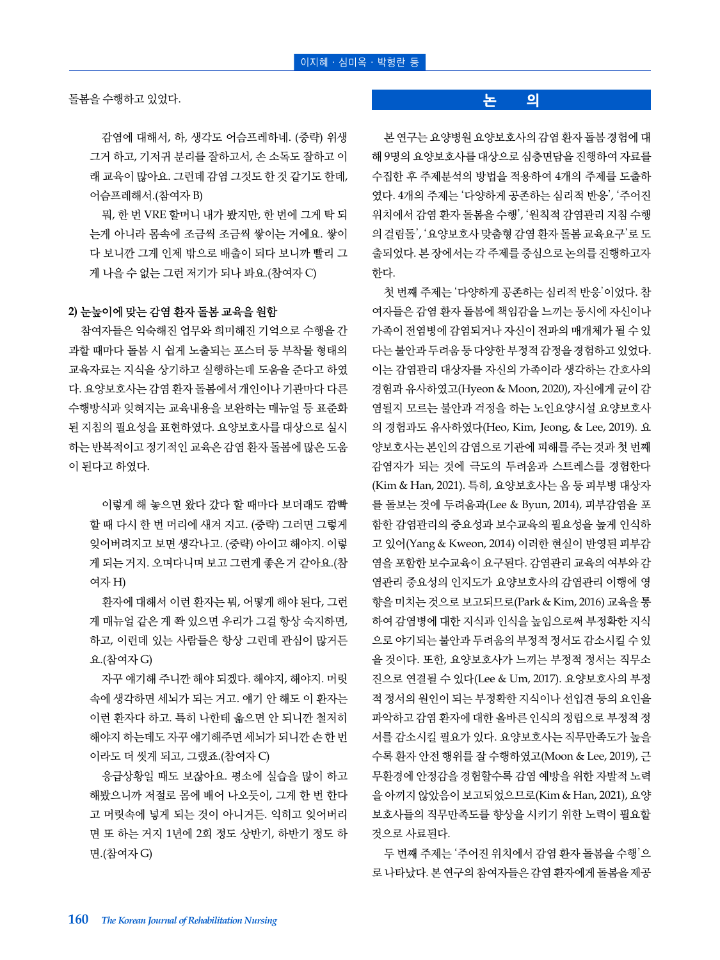돌봄을 수행하고 있었다.

감염에 대해서, 하, 생각도 어슴프레하네. (중략) 위생 그거 하고, 기저귀 분리를 잘하고서, 손 소독도 잘하고 이 래 교육이 많아요. 그런데 감염 그것도 한 것 같기도 한데, 어슴프레해서.(참여자 B)

뭐, 한 번 VRE 할머니 내가 봤지만, 한 번에 그게 탁 되 는게 아니라 몸속에 조금씩 조금씩 쌓이는 거에요. 쌓이 다 보니깐 그게 인제 밖으로 배출이 되다 보니까 빨리 그 게 나을 수 없는 그런 저기가 되나 봐요.(참여자 C)

#### **2)** 눈높이에 맞는 감염 환자 돌봄 교육을 원함

참여자들은 익숙해진 업무와 희미해진 기억으로 수행을 간 과할 때마다 돌봄 시 쉽게 노출되는 포스터 등 부착물 형태의 교육자료는 지식을 상기하고 실행하는데 도움을 준다고 하였 다. 요양보호사는 감염 환자 돌봄에서 개인이나 기관마다 다른 수행방식과 잊혀지는 교육내용을 보완하는 매뉴얼 등 표준화 된 지침의 필요성을 표현하였다. 요양보호사를 대상으로 실시 하는 반복적이고 정기적인 교육은 감염 환자 돌봄에 많은 도움 이 된다고 하였다.

이렇게 해 놓으면 왔다 갔다 할 때마다 보더래도 깜빡 할 때 다시 한 번 머리에 새겨 지고. (중략) 그러면 그렇게 잊어버려지고 보면 생각나고. (중략) 아이고 해야지. 이렇 게 되는 거지. 오며다니며 보고 그런게 좋은 거 같아요.(참 여자 H)

환자에 대해서 이런 환자는 뭐, 어떻게 해야 된다, 그런 게 매뉴얼 같은 게 쫙 있으면 우리가 그걸 항상 숙지하면, 하고, 이런데 있는 사람들은 항상 그런데 관심이 많거든 요.(참여자 G)

자꾸 얘기해 주니깐 해야 되겠다. 해야지, 해야지. 머릿 속에 생각하면 세뇌가 되는 거고. 얘기 안 해도 이 환자는 이런 환자다 하고. 특히 나한테 옮으면 안 되니깐 철저히 해야지 하는데도 자꾸 얘기해주면 세뇌가 되니깐 손 한 번 이라도 더 씻게 되고, 그랬죠.(참여자 C)

응급상황일 때도 보잖아요. 평소에 실습을 많이 하고 해봤으니까 저절로 몸에 배어 나오듯이, 그게 한 번 한다 고 머릿속에 넣게 되는 것이 아니거든. 익히고 잊어버리 면 또 하는 거지 1년에 2회 정도 상반기, 하반기 정도 하 면.(참여자 G)

#### **논 의**

본 연구는 요양병원 요양보호사의 감염 환자 돌봄 경험에 대 해 9명의 요양보호사를 대상으로 심층면담을 진행하여 자료를 수집한 후 주제분석의 방법을 적용하여 4개의 주제를 도출하 였다. 4개의 주제는 '다양하게 공존하는 심리적 반응', '주어진 위치에서 감염 환자 돌봄을 수행', '원칙적 감염관리 지침 수행 의 걸림돌', '요양보호사 맞춤형 감염 환자 돌봄 교육요구'로 도 출되었다. 본 장에서는 각 주제를 중심으로 논의를 진행하고자 한다.

첫 번째 주제는 '다양하게 공존하는 심리적 반응'이었다. 참 여자들은 감염 환자 돌봄에 책임감을 느끼는 동시에 자신이나 가족이 전염병에 감염되거나 자신이 전파의 매개체가 될 수 있 다는 불안과 두려움 등 다양한 부정적 감정을 경험하고 있었다. 이는 감염관리 대상자를 자신의 가족이라 생각하는 간호사의 경험과 유사하였고(Hyeon & Moon, 2020), 자신에게 균이 감 염될지 모르는 불안과 걱정을 하는 노인요양시설 요양보호사 의 경험과도 유사하였다(Heo, Kim, Jeong, & Lee, 2019). 요 양보호사는 본인의 감염으로 기관에 피해를 주는 것과 첫 번째 감염자가 되는 것에 극도의 두려움과 스트레스를 경험한다 (Kim & Han, 2021). 특히, 요양보호사는 옴 등 피부병 대상자 를 돌보는 것에 두려움과(Lee & Byun, 2014), 피부감염을 포 함한 감염관리의 중요성과 보수교육의 필요성을 높게 인식하 고 있어(Yang & Kweon, 2014) 이러한 현실이 반영된 피부감 염을 포함한 보수교육이 요구된다. 감염관리 교육의 여부와 감 염관리 중요성의 인지도가 요양보호사의 감염관리 이행에 영 향을 미치는 것으로 보고되므로(Park & Kim, 2016) 교육을 통 하여 감염병에 대한 지식과 인식을 높임으로써 부정확한 지식 으로 야기되는 불안과 두려움의 부정적 정서도 감소시킬 수 있 을 것이다. 또한, 요양보호사가 느끼는 부정적 정서는 직무소 진으로 연결될 수 있다(Lee & Um, 2017). 요양보호사의 부정 적 정서의 원인이 되는 부정확한 지식이나 선입견 등의 요인을 파악하고 감염 환자에 대한 올바른 인식의 정립으로 부정적 정 서를 감소시킬 필요가 있다. 요양보호사는 직무만족도가 높을 수록 환자 안전 행위를 잘 수행하였고(Moon & Lee, 2019), 근 무환경에 안정감을 경험할수록 감염 예방을 위한 자발적 노력 을 아끼지 않았음이 보고되었으므로(Kim & Han, 2021), 요양 보호사들의 직무만족도를 향상을 시키기 위한 노력이 필요할 것으로 사료된다.

두 번째 주제는 '주어진 위치에서 감염 환자 돌봄을 수행'으 로 나타났다. 본 연구의 참여자들은 감염 환자에게 돌봄을 제공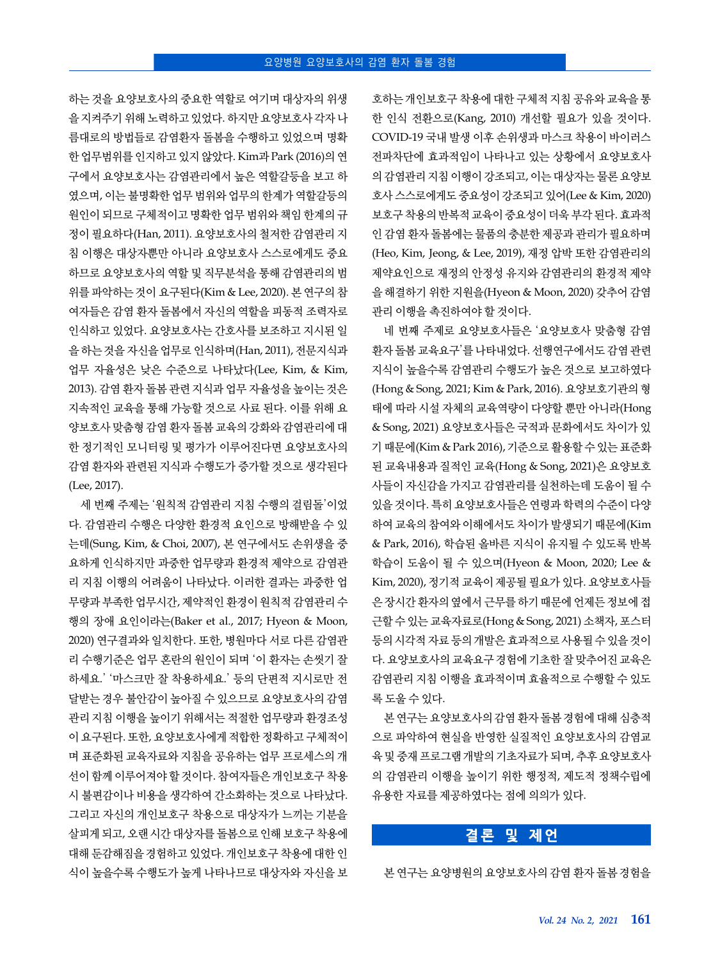하는 것을 요양보호사의 중요한 역할로 여기며 대상자의 위생 을 지켜주기 위해 노력하고 있었다. 하지만 요양보호사 각자 나 름대로의 방법들로 감염환자 돌봄을 수행하고 있었으며 명확 한 업무범위를 인지하고 있지 않았다. Kim과 Park (2016)의 연 구에서 요양보호사는 감염관리에서 높은 역할갈등을 보고 하 였으며, 이는 불명확한 업무 범위와 업무의 한계가 역할갈등의 원인이 되므로 구체적이고 명확한 업무 범위와 책임 한계의 규 정이 필요하다(Han, 2011). 요양보호사의 철저한 감염관리 지 침 이행은 대상자뿐만 아니라 요양보호사 스스로에게도 중요 하므로 요양보호사의 역할 및 직무분석을 통해 감염관리의 범 위를 파악하는 것이 요구된다(Kim & Lee, 2020). 본 연구의 참 여자들은 감염 환자 돌봄에서 자신의 역할을 피동적 조력자로 인식하고 있었다. 요양보호사는 간호사를 보조하고 지시된 일 을 하는 것을 자신을 업무로 인식하며(Han, 2011), 전문지식과 업무 자율성은 낮은 수준으로 나타났다(Lee, Kim, & Kim, 2013). 감염 환자 돌봄 관련 지식과 업무 자율성을 높이는 것은 지속적인 교육을 통해 가능할 것으로 사료 된다. 이를 위해 요 양보호사 맞춤형 감염 환자 돌봄 교육의 강화와 감염관리에 대 한 정기적인 모니터링 및 평가가 이루어진다면 요양보호사의 감염 환자와 관련된 지식과 수행도가 증가할 것으로 생각된다 (Lee, 2017).

세 번째 주제는 '원칙적 감염관리 지침 수행의 걸림돌'이었 다. 감염관리 수행은 다양한 환경적 요인으로 방해받을 수 있 는데(Sung, Kim, & Choi, 2007), 본 연구에서도 손위생을 중 요하게 인식하지만 과중한 업무량과 환경적 제약으로 감염관 리 지침 이행의 어려움이 나타났다. 이러한 결과는 과중한 업 무량과 부족한 업무시간, 제약적인 환경이 원칙적 감염관리 수 행의 장애 요인이라는(Baker et al., 2017; Hyeon & Moon, 2020) 연구결과와 일치한다. 또한, 병원마다 서로 다른 감염관 리 수행기준은 업무 혼란의 원인이 되며 '이 환자는 손씻기 잘 하세요.' '마스크만 잘 착용하세요.' 등의 단편적 지시로만 전 달받는 경우 불안감이 높아질 수 있으므로 요양보호사의 감염 관리 지침 이행을 높이기 위해서는 적절한 업무량과 환경조성 이 요구된다. 또한, 요양보호사에게 적합한 정확하고 구체적이 며 표준화된 교육자료와 지침을 공유하는 업무 프로세스의 개 선이 함께 이루어져야 할 것이다. 참여자들은 개인보호구 착용 시 불편감이나 비용을 생각하여 간소화하는 것으로 나타났다. 그리고 자신의 개인보호구 착용으로 대상자가 느끼는 기분을 살피게 되고, 오랜 시간 대상자를 돌봄으로 인해 보호구 착용에 대해 둔감해짐을 경험하고 있었다. 개인보호구 착용에 대한 인 식이 높을수록 수행도가 높게 나타나므로 대상자와 자신을 보

호하는 개인보호구 착용에 대한 구체적 지침 공유와 교육을 통 한 인식 전환으로(Kang, 2010) 개선할 필요가 있을 것이다. COVID-19 국내 발생 이후 손위생과 마스크 착용이 바이러스 전파차단에 효과적임이 나타나고 있는 상황에서 요양보호사 의 감염관리 지침 이행이 강조되고, 이는 대상자는 물론 요양보 호사 스스로에게도 중요성이 강조되고 있어(Lee & Kim, 2020) 보호구 착용의 반복적 교육이 중요성이 더욱 부각 된다. 효과적 인 감염 환자 돌봄에는 물품의 충분한 제공과 관리가 필요하며 (Heo, Kim, Jeong, & Lee, 2019), 재정 압박 또한 감염관리의 제약요인으로 재정의 안정성 유지와 감염관리의 환경적 제약 을 해결하기 위한 지원을(Hyeon & Moon, 2020) 갖추어 감염 관리 이행을 촉진하여야 할 것이다.

네 번째 주제로 요양보호사들은 '요양보호사 맞춤형 감염 환자 돌봄 교육요구'를 나타내었다. 선행연구에서도 감염 관련 지식이 높을수록 감염관리 수행도가 높은 것으로 보고하였다 (Hong & Song, 2021; Kim & Park, 2016). 요양보호기관의 형 태에 따라 시설 자체의 교육역량이 다양할 뿐만 아니라(Hong & Song, 2021) 요양보호사들은 국적과 문화에서도 차이가 있 기 때문에(Kim & Park 2016), 기준으로 활용할 수 있는 표준화 된 교육내용과 질적인 교육(Hong & Song, 2021)은 요양보호 사들이 자신감을 가지고 감염관리를 실천하는데 도움이 될 수 있을 것이다. 특히 요양보호사들은 연령과 학력의 수준이 다양 하여 교육의 참여와 이해에서도 차이가 발생되기 때문에(Kim & Park, 2016), 학습된 올바른 지식이 유지될 수 있도록 반복 학습이 도움이 될 수 있으며(Hyeon & Moon, 2020; Lee & Kim, 2020), 정기적 교육이 제공될 필요가 있다. 요양보호사들 은 장시간 환자의 옆에서 근무를 하기 때문에 언제든 정보에 접 근할 수 있는 교육자료로(Hong & Song, 2021) 소책자, 포스터 등의 시각적 자료 등의 개발은 효과적으로 사용될 수 있을 것이 다. 요양보호사의 교육요구 경험에 기초한 잘 맞추어진 교육은 감염관리 지침 이행을 효과적이며 효율적으로 수행할 수 있도 록 도울 수 있다.

본 연구는 요양보호사의 감염 환자 돌봄 경험에 대해 심층적 으로 파악하여 현실을 반영한 실질적인 요양보호사의 감염교 육 및 중재 프로그램 개발의 기초자료가 되며, 추후 요양보호사 의 감염관리 이행을 높이기 위한 행정적, 제도적 정책수립에 유용한 자료를 제공하였다는 점에 의의가 있다.

## **결론 및 제언**

본 연구는 요양병원의 요양보호사의 감염 환자 돌봄 경험을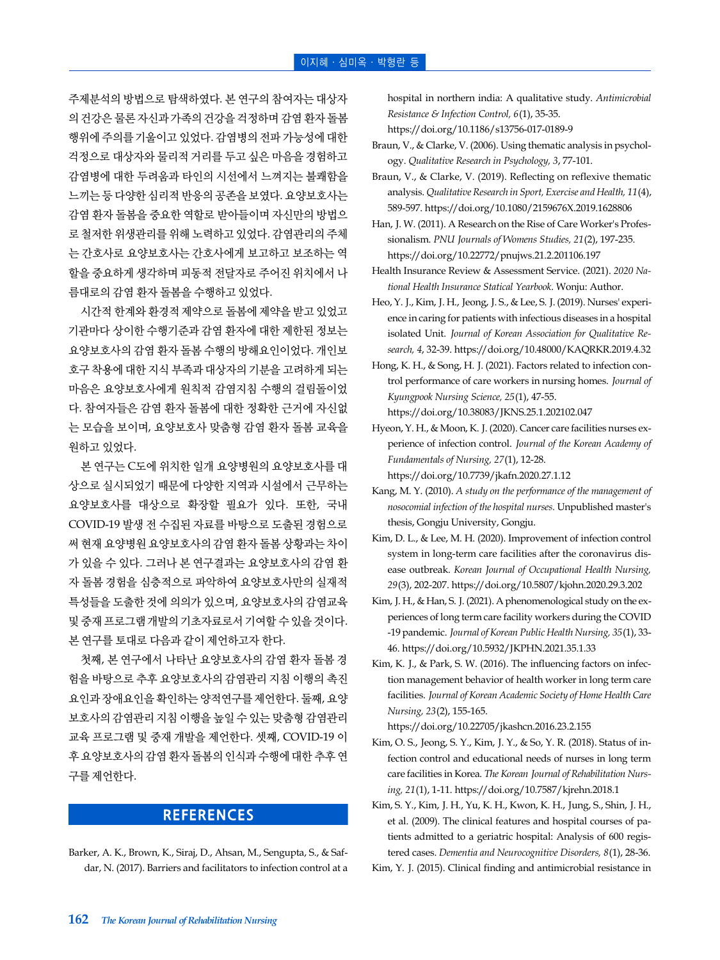주제분석의 방법으로 탐색하였다. 본 연구의 참여자는 대상자 의 건강은 물론 자신과 가족의 건강을 걱정하며 감염 환자 돌봄 행위에 주의를 기울이고 있었다. 감염병의 전파 가능성에 대한 걱정으로 대상자와 물리적 거리를 두고 싶은 마음을 경험하고 감염병에 대한 두려움과 타인의 시선에서 느껴지는 불쾌함을 느끼는 등 다양한 심리적 반응의 공존을 보였다. 요양보호사는 감염 환자 돌봄을 중요한 역할로 받아들이며 자신만의 방법으 로 철저한 위생관리를 위해 노력하고 있었다. 감염관리의 주체 는 간호사로 요양보호사는 간호사에게 보고하고 보조하는 역 할을 중요하게 생각하며 피동적 전달자로 주어진 위치에서 나 름대로의 감염 환자 돌봄을 수행하고 있었다.

시간적 한계와 환경적 제약으로 돌봄에 제약을 받고 있었고 기관마다 상이한 수행기준과 감염 환자에 대한 제한된 정보는 요양보호사의 감염 환자 돌봄 수행의 방해요인이었다. 개인보 호구 착용에 대한 지식 부족과 대상자의 기분을 고려하게 되는 마음은 요양보호사에게 원칙적 감염지침 수행의 걸림돌이었 다. 참여자들은 감염 환자 돌봄에 대한 정확한 근거에 자신없 는 모습을 보이며, 요양보호사 맞춤형 감염 환자 돌봄 교육을 원하고 있었다.

본 연구는 C도에 위치한 일개 요양병원의 요양보호사를 대 상으로 실시되었기 때문에 다양한 지역과 시설에서 근무하는 요양보호사를 대상으로 확장할 필요가 있다. 또한, 국내 COVID-19 발생 전 수집된 자료를 바탕으로 도출된 경험으로 써 현재 요양병원 요양보호사의 감염 환자 돌봄 상황과는 차이 가 있을 수 있다. 그러나 본 연구결과는 요양보호사의 감염 환 자 돌봄 경험을 심층적으로 파악하여 요양보호사만의 실재적 특성들을 도출한 것에 의의가 있으며, 요양보호사의 감염교육 및 중재 프로그램 개발의 기초자료로서 기여할 수 있을 것이다. 본 연구를 토대로 다음과 같이 제언하고자 한다.

첫째, 본 연구에서 나타난 요양보호사의 감염 환자 돌봄 경 험을 바탕으로 추후 요양보호사의 감염관리 지침 이행의 촉진 요인과 장애요인을 확인하는 양적연구를 제언한다. 둘째, 요양 보호사의 감염관리 지침 이행을 높일 수 있는 맞춤형 감염관리 교육 프로그램 및 중재 개발을 제언한다. 셋째, COVID-19 이 후 요양보호사의 감염 환자 돌봄의 인식과 수행에 대한 추후 연 구를 제언한다.

## **REFERENCES**

Barker, A. K., Brown, K., Siraj, D., Ahsan, M., Sengupta, S., & Safdar, N. (2017). Barriers and facilitators to infection control at a hospital in northern india: A qualitative study. *Antimicrobial Resistance & Infection Control, 6*(1), 35-35.

https://doi.org/10.1186/s13756-017-0189-9

- Braun, V., & Clarke, V. (2006). Using thematic analysis in psychology. *Qualitative Research in Psychology, 3*, 77-101.
- Braun, V., & Clarke, V. (2019). Reflecting on reflexive thematic analysis. *Qualitative Research in Sport, Exercise and Health, 11*(4), 589-597. https://doi.org/10.1080/2159676X.2019.1628806
- Han, J. W. (2011). A Research on the Rise of Care Worker's Professionalism. *PNU Journals of Womens Studies, 21*(2), 197-235. https://doi.org/10.22772/pnujws.21.2.201106.197

Health Insurance Review & Assessment Service. (2021). *2020 National Health Insurance Statical Yearbook*. Wonju: Author.

Heo, Y. J., Kim, J. H., Jeong, J. S., & Lee, S. J. (2019). Nurses' experience in caring for patients with infectious diseases in a hospital isolated Unit. *Journal of Korean Association for Qualitative Research, 4*, 32-39. https://doi.org/10.48000/KAQRKR.2019.4.32

Hong, K. H., & Song, H. J. (2021). Factors related to infection control performance of care workers in nursing homes. *Journal of Kyungpook Nursing Science, 25*(1), 47-55. https://doi.org/10.38083/JKNS.25.1.202102.047

Hyeon, Y. H., & Moon, K. J. (2020). Cancer care facilities nurses experience of infection control. *Journal of the Korean Academy of Fundamentals of Nursing, 27*(1), 12-28.

https://doi.org/10.7739/jkafn.2020.27.1.12

- Kang, M. Y. (2010). *A study on the performance of the management of nosocomial infection of the hospital nurses.* Unpublished master's thesis, Gongju University, Gongju.
- Kim, D. L., & Lee, M. H. (2020). Improvement of infection control system in long-term care facilities after the coronavirus disease outbreak. *Korean Journal of Occupational Health Nursing, 29*(3), 202-207. https://doi.org/10.5807/kjohn.2020.29.3.202
- Kim, J. H., & Han, S. J. (2021). A phenomenological study on the experiences of long term care facility workers during the COVID -19 pandemic. *Journal of Korean Public Health Nursing, 35*(1), 33- 46. https://doi.org/10.5932/JKPHN.2021.35.1.33
- Kim, K. J., & Park, S. W. (2016). The influencing factors on infection management behavior of health worker in long term care facilities. *Journal of Korean Academic Society of Home Health Care Nursing, 23*(2), 155-165.

https://doi.org/10.22705/jkashcn.2016.23.2.155

- Kim, O. S., Jeong, S. Y., Kim, J. Y., & So, Y. R. (2018). Status of infection control and educational needs of nurses in long term care facilities in Korea. *The Korean Journal of Rehabilitation Nursing, 21*(1), 1-11. https://doi.org/10.7587/kjrehn.2018.1
- Kim, S. Y., Kim, J. H., Yu, K. H., Kwon, K. H., Jung, S., Shin, J. H., et al. (2009). The clinical features and hospital courses of patients admitted to a geriatric hospital: Analysis of 600 registered cases. *Dementia and Neurocognitive Disorders, 8*(1), 28-36.
- Kim, Y. J. (2015). Clinical finding and antimicrobial resistance in